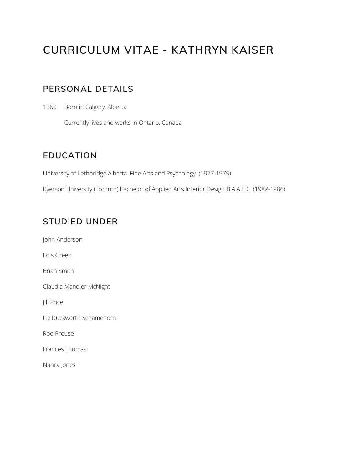# **CURRICULUM VITAE - KATHRYN KAISER**

# **PERSONAL DETAILS**

1960 Born in Calgary, Alberta

Currently lives and works in Ontario, Canada

## **EDUCATION**

University of Lethbridge Alberta. Fine Arts and Psychology (1977-1979)

Ryerson University (Toronto) Bachelor of Applied Arts Interior Design B.A.A.I.D. (1982-1986)

## **STUDIED UNDER**

John Anderson Lois Green Brian Smith Claudia Mandler McNight Jill Price Liz Duckworth Schamehorn Rod Prouse Frances Thomas Nancy Jones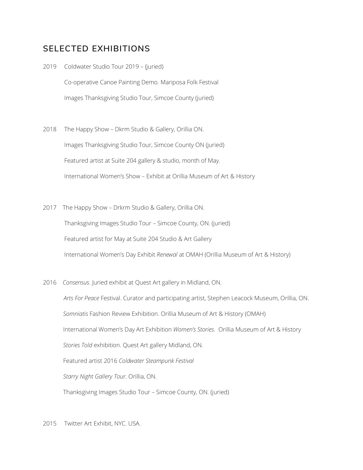## **SELECTED EXHIBITIONS**

2019 Coldwater Studio Tour 2019 – (juried) Co-operative Canoe Painting Demo. Mariposa Folk Festival Images Thanksgiving Studio Tour, Simcoe County (juried)

- 2018 The Happy Show Dkrm Studio & Gallery, Orillia ON. Images Thanksgiving Studio Tour, Simcoe County ON (juried) Featured artist at Suite 204 gallery & studio, month of May. International Women's Show – Exhibit at Orillia Museum of Art & History
- 2017 The Happy Show Drkrm Studio & Gallery, Orillia ON. Thanksgiving Images Studio Tour – Simcoe County, ON. (juried) Featured artist for May at Suite 204 Studio & Art Gallery International Women's Day Exhibit *Renewal* at OMAH (Orillia Museum of Art & History)
- 2016 *Consensus.* Juried exhibit at Quest Art gallery in Midland, ON.

*Arts For Peace* Festival. Curator and participating artist, Stephen Leacock Museum, Orillia, ON. *Somniatis* Fashion Review Exhibition. Orillia Museum of Art & History (OMAH) International Women's Day Art Exhibition *Women's Stories*. Orillia Museum of Art & History *Stories Told* exhibition. Quest Art gallery Midland, ON. Featured artist 2016 *Coldwater Steampunk Festival Starry Night Gallery Tour*. Orillia, ON. Thanksgiving Images Studio Tour – Simcoe County, ON. (juried)